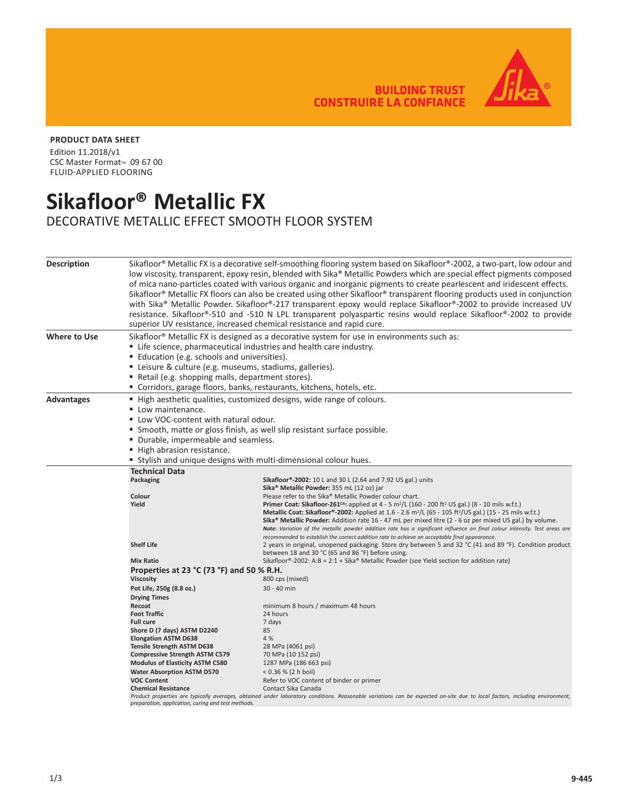**BUILDING TRUST CONSTRUIRE LA CONFIANCE** 



## **PRODUCT DATA SHEET**

Edition 11.2018/v1 CSC Master Format™ 09 67 00 FLUID-APPLIED FLOORING

## **Sikafloor® Metallic FX**

DECORATIVE METALLIC EFFECT SMOOTH FLOOR SYSTEM

| <b>Description</b>  | Sikafloor® Metallic FX is a decorative self-smoothing flooring system based on Sikafloor®-2002, a two-part, low odour and<br>low viscosity, transparent, epoxy resin, blended with Sika® Metallic Powders which are special effect pigments composed<br>of mica nano-particles coated with various organic and inorganic pigments to create pearlescent and iridescent effects.<br>Sikafloor® Metallic FX floors can also be created using other Sikafloor® transparent flooring products used in conjunction<br>with Sika® Metallic Powder. Sikafloor®-217 transparent epoxy would replace Sikafloor®-2002 to provide increased UV<br>resistance. Sikafloor®-510 and -510 N LPL transparent polyaspartic resins would replace Sikafloor®-2002 to provide<br>superior UV resistance, increased chemical resistance and rapid cure. |                                                                                                                                                                                                                                                                |  |
|---------------------|------------------------------------------------------------------------------------------------------------------------------------------------------------------------------------------------------------------------------------------------------------------------------------------------------------------------------------------------------------------------------------------------------------------------------------------------------------------------------------------------------------------------------------------------------------------------------------------------------------------------------------------------------------------------------------------------------------------------------------------------------------------------------------------------------------------------------------|----------------------------------------------------------------------------------------------------------------------------------------------------------------------------------------------------------------------------------------------------------------|--|
| <b>Where to Use</b> | Sikafloor® Metallic FX is designed as a decorative system for use in environments such as:                                                                                                                                                                                                                                                                                                                                                                                                                                                                                                                                                                                                                                                                                                                                         |                                                                                                                                                                                                                                                                |  |
|                     |                                                                                                                                                                                                                                                                                                                                                                                                                                                                                                                                                                                                                                                                                                                                                                                                                                    | " Life science, pharmaceutical industries and health care industry.                                                                                                                                                                                            |  |
|                     | <b>Education (e.g. schools and universities).</b>                                                                                                                                                                                                                                                                                                                                                                                                                                                                                                                                                                                                                                                                                                                                                                                  |                                                                                                                                                                                                                                                                |  |
|                     | " Leisure & culture (e.g. museums, stadiums, galleries).                                                                                                                                                                                                                                                                                                                                                                                                                                                                                                                                                                                                                                                                                                                                                                           |                                                                                                                                                                                                                                                                |  |
|                     | Retail (e.g. shopping malls, department stores).                                                                                                                                                                                                                                                                                                                                                                                                                                                                                                                                                                                                                                                                                                                                                                                   |                                                                                                                                                                                                                                                                |  |
|                     | " Corridors, garage floors, banks, restaurants, kitchens, hotels, etc.                                                                                                                                                                                                                                                                                                                                                                                                                                                                                                                                                                                                                                                                                                                                                             |                                                                                                                                                                                                                                                                |  |
| <b>Advantages</b>   | ■ High aesthetic qualities, customized designs, wide range of colours.                                                                                                                                                                                                                                                                                                                                                                                                                                                                                                                                                                                                                                                                                                                                                             |                                                                                                                                                                                                                                                                |  |
|                     | ■ Low maintenance.                                                                                                                                                                                                                                                                                                                                                                                                                                                                                                                                                                                                                                                                                                                                                                                                                 |                                                                                                                                                                                                                                                                |  |
|                     | " Low VOC-content with natural odour.                                                                                                                                                                                                                                                                                                                                                                                                                                                                                                                                                                                                                                                                                                                                                                                              |                                                                                                                                                                                                                                                                |  |
|                     | " Smooth, matte or gloss finish, as well slip resistant surface possible.                                                                                                                                                                                                                                                                                                                                                                                                                                                                                                                                                                                                                                                                                                                                                          |                                                                                                                                                                                                                                                                |  |
|                     | Durable, impermeable and seamless.                                                                                                                                                                                                                                                                                                                                                                                                                                                                                                                                                                                                                                                                                                                                                                                                 |                                                                                                                                                                                                                                                                |  |
|                     | High abrasion resistance.                                                                                                                                                                                                                                                                                                                                                                                                                                                                                                                                                                                                                                                                                                                                                                                                          |                                                                                                                                                                                                                                                                |  |
|                     | " Stylish and unique designs with multi-dimensional colour hues.                                                                                                                                                                                                                                                                                                                                                                                                                                                                                                                                                                                                                                                                                                                                                                   |                                                                                                                                                                                                                                                                |  |
|                     | <b>Technical Data</b>                                                                                                                                                                                                                                                                                                                                                                                                                                                                                                                                                                                                                                                                                                                                                                                                              |                                                                                                                                                                                                                                                                |  |
|                     | Packaging                                                                                                                                                                                                                                                                                                                                                                                                                                                                                                                                                                                                                                                                                                                                                                                                                          | Sikafloor®-2002: 10 L and 30 L (2.64 and 7.92 US gal.) units                                                                                                                                                                                                   |  |
|                     |                                                                                                                                                                                                                                                                                                                                                                                                                                                                                                                                                                                                                                                                                                                                                                                                                                    | Sika <sup>®</sup> Metallic Powder: 355 mL (12 oz) jar                                                                                                                                                                                                          |  |
|                     | Colour                                                                                                                                                                                                                                                                                                                                                                                                                                                                                                                                                                                                                                                                                                                                                                                                                             | Please refer to the Sika® Metallic Powder colour chart.                                                                                                                                                                                                        |  |
|                     | Yield                                                                                                                                                                                                                                                                                                                                                                                                                                                                                                                                                                                                                                                                                                                                                                                                                              | <b>Primer Coat: Sikafloor-261<sup>cA</sup>:</b> applied at 4 - 5 m <sup>2</sup> /L (160 - 200 ft <sup>2</sup> US gal.) (8 - 10 mils w.f.t.)                                                                                                                    |  |
|                     |                                                                                                                                                                                                                                                                                                                                                                                                                                                                                                                                                                                                                                                                                                                                                                                                                                    | <b>Metallic Coat: Sikafloor®-2002:</b> Applied at 1.6 - 2.6 m <sup>2</sup> /L (65 - 105 ft <sup>2</sup> /US gal.) (15 - 25 mils w.f.t.)<br>Sika <sup>®</sup> Metallic Powder: Addition rate 16 - 47 mL per mixed litre (2 - 6 oz per mixed US gal.) by volume. |  |
|                     |                                                                                                                                                                                                                                                                                                                                                                                                                                                                                                                                                                                                                                                                                                                                                                                                                                    | Note: Variation of the metallic powder addition rate has a significant influence on final colour intensity. Test areas are                                                                                                                                     |  |
|                     |                                                                                                                                                                                                                                                                                                                                                                                                                                                                                                                                                                                                                                                                                                                                                                                                                                    | recommended to establish the correct addition rate to achieve an acceptable final appearance.                                                                                                                                                                  |  |
|                     | <b>Shelf Life</b>                                                                                                                                                                                                                                                                                                                                                                                                                                                                                                                                                                                                                                                                                                                                                                                                                  | 2 years in original, unopened packaging. Store dry between 5 and 32 °C (41 and 89 °F). Condition product<br>between 18 and 30 °C (65 and 86 °F) before using.                                                                                                  |  |
|                     | <b>Mix Ratio</b>                                                                                                                                                                                                                                                                                                                                                                                                                                                                                                                                                                                                                                                                                                                                                                                                                   | Sikafloor®-2002: A:B = 2:1 + Sika® Metallic Powder (see Yield section for addition rate)                                                                                                                                                                       |  |
|                     | Properties at 23 °C (73 °F) and 50 % R.H.                                                                                                                                                                                                                                                                                                                                                                                                                                                                                                                                                                                                                                                                                                                                                                                          |                                                                                                                                                                                                                                                                |  |
|                     | <b>Viscosity</b>                                                                                                                                                                                                                                                                                                                                                                                                                                                                                                                                                                                                                                                                                                                                                                                                                   | 800 cps (mixed)                                                                                                                                                                                                                                                |  |
|                     | Pot Life, 250g (8.8 oz.)                                                                                                                                                                                                                                                                                                                                                                                                                                                                                                                                                                                                                                                                                                                                                                                                           | 30 - 40 min                                                                                                                                                                                                                                                    |  |
|                     | <b>Drying Times</b><br>Recoat                                                                                                                                                                                                                                                                                                                                                                                                                                                                                                                                                                                                                                                                                                                                                                                                      | minimum 8 hours / maximum 48 hours                                                                                                                                                                                                                             |  |
|                     | <b>Foot Traffic</b>                                                                                                                                                                                                                                                                                                                                                                                                                                                                                                                                                                                                                                                                                                                                                                                                                | 24 hours                                                                                                                                                                                                                                                       |  |
|                     | <b>Full cure</b>                                                                                                                                                                                                                                                                                                                                                                                                                                                                                                                                                                                                                                                                                                                                                                                                                   | 7 days                                                                                                                                                                                                                                                         |  |
|                     | Shore D (7 days) ASTM D2240                                                                                                                                                                                                                                                                                                                                                                                                                                                                                                                                                                                                                                                                                                                                                                                                        | 85                                                                                                                                                                                                                                                             |  |
|                     | <b>Elongation ASTM D638</b>                                                                                                                                                                                                                                                                                                                                                                                                                                                                                                                                                                                                                                                                                                                                                                                                        | 4 %                                                                                                                                                                                                                                                            |  |
|                     | <b>Tensile Strength ASTM D638</b>                                                                                                                                                                                                                                                                                                                                                                                                                                                                                                                                                                                                                                                                                                                                                                                                  | 28 MPa (4061 psi)                                                                                                                                                                                                                                              |  |
|                     | <b>Compressive Strength ASTM C579</b><br><b>Modulus of Elasticity ASTM C580</b>                                                                                                                                                                                                                                                                                                                                                                                                                                                                                                                                                                                                                                                                                                                                                    | 70 MPa (10 152 psi)<br>1287 MPa (186 663 psi)                                                                                                                                                                                                                  |  |
|                     | <b>Water Absorption ASTM D570</b>                                                                                                                                                                                                                                                                                                                                                                                                                                                                                                                                                                                                                                                                                                                                                                                                  | < 0.36 % (2 h boil)                                                                                                                                                                                                                                            |  |
|                     | <b>VOC Content</b>                                                                                                                                                                                                                                                                                                                                                                                                                                                                                                                                                                                                                                                                                                                                                                                                                 | Refer to VOC content of binder or primer                                                                                                                                                                                                                       |  |
|                     | <b>Chemical Resistance</b>                                                                                                                                                                                                                                                                                                                                                                                                                                                                                                                                                                                                                                                                                                                                                                                                         | Contact Sika Canada                                                                                                                                                                                                                                            |  |
|                     | preparation, application, curing and test methods.                                                                                                                                                                                                                                                                                                                                                                                                                                                                                                                                                                                                                                                                                                                                                                                 | Product properties are typically averages, obtained under laboratory conditions. Reasonable variations can be expected on-site due to local factors, including environment,                                                                                    |  |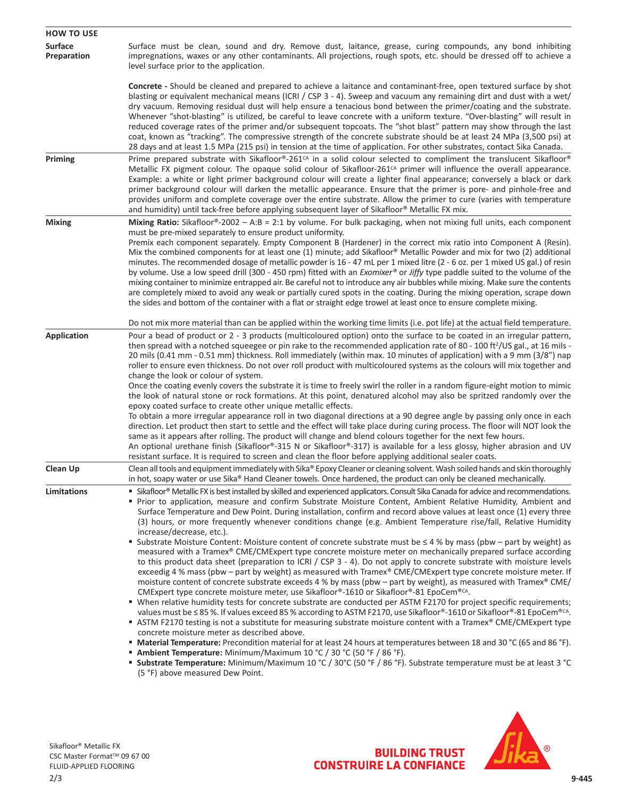| <b>HOW TO USE</b>             |                                                                                                                                                                                                                                                                                                                                                                                                                                                                                                                                                                                                                                                                                                                                                                                                                                                                                                                                                                                                                                                                                                                                                                                                                                                                                                                                                                                                                                                                                                                          |  |
|-------------------------------|--------------------------------------------------------------------------------------------------------------------------------------------------------------------------------------------------------------------------------------------------------------------------------------------------------------------------------------------------------------------------------------------------------------------------------------------------------------------------------------------------------------------------------------------------------------------------------------------------------------------------------------------------------------------------------------------------------------------------------------------------------------------------------------------------------------------------------------------------------------------------------------------------------------------------------------------------------------------------------------------------------------------------------------------------------------------------------------------------------------------------------------------------------------------------------------------------------------------------------------------------------------------------------------------------------------------------------------------------------------------------------------------------------------------------------------------------------------------------------------------------------------------------|--|
| <b>Surface</b><br>Preparation | Surface must be clean, sound and dry. Remove dust, laitance, grease, curing compounds, any bond inhibiting<br>impregnations, waxes or any other contaminants. All projections, rough spots, etc. should be dressed off to achieve a<br>level surface prior to the application.                                                                                                                                                                                                                                                                                                                                                                                                                                                                                                                                                                                                                                                                                                                                                                                                                                                                                                                                                                                                                                                                                                                                                                                                                                           |  |
|                               | <b>Concrete</b> - Should be cleaned and prepared to achieve a laitance and contaminant-free, open textured surface by shot<br>blasting or equivalent mechanical means (ICRI / CSP 3 - 4). Sweep and vacuum any remaining dirt and dust with a wet/<br>dry vacuum. Removing residual dust will help ensure a tenacious bond between the primer/coating and the substrate.<br>Whenever "shot-blasting" is utilized, be careful to leave concrete with a uniform texture. "Over-blasting" will result in<br>reduced coverage rates of the primer and/or subsequent topcoats. The "shot blast" pattern may show through the last<br>coat, known as "tracking". The compressive strength of the concrete substrate should be at least 24 MPa (3,500 psi) at<br>28 days and at least 1.5 MPa (215 psi) in tension at the time of application. For other substrates, contact Sika Canada.                                                                                                                                                                                                                                                                                                                                                                                                                                                                                                                                                                                                                                       |  |
| Priming                       | Prime prepared substrate with Sikafloor®-261 <sup>cA</sup> in a solid colour selected to compliment the translucent Sikafloor®<br>Metallic FX pigment colour. The opaque solid colour of Sikafloor-261 <sup>cA</sup> primer will influence the overall appearance.<br>Example: a white or light primer background colour will create a lighter final appearance; conversely a black or dark<br>primer background colour will darken the metallic appearance. Ensure that the primer is pore- and pinhole-free and<br>provides uniform and complete coverage over the entire substrate. Allow the primer to cure (varies with temperature<br>and humidity) until tack-free before applying subsequent layer of Sikafloor® Metallic FX mix.                                                                                                                                                                                                                                                                                                                                                                                                                                                                                                                                                                                                                                                                                                                                                                                |  |
| <b>Mixing</b>                 | Mixing Ratio: Sikafloor®-2002 - A:B = 2:1 by volume. For bulk packaging, when not mixing full units, each component<br>must be pre-mixed separately to ensure product uniformity.<br>Premix each component separately. Empty Component B (Hardener) in the correct mix ratio into Component A (Resin).<br>Mix the combined components for at least one (1) minute; add Sikafloor® Metallic Powder and mix for two (2) additional<br>minutes. The recommended dosage of metallic powder is 16 - 47 mL per 1 mixed litre (2 - 6 oz. per 1 mixed US gal.) of resin<br>by volume. Use a low speed drill (300 - 450 rpm) fitted with an <i>Exomixer</i> ® or Jiffy type paddle suited to the volume of the<br>mixing container to minimize entrapped air. Be careful not to introduce any air bubbles while mixing. Make sure the contents<br>are completely mixed to avoid any weak or partially cured spots in the coating. During the mixing operation, scrape down<br>the sides and bottom of the container with a flat or straight edge trowel at least once to ensure complete mixing.                                                                                                                                                                                                                                                                                                                                                                                                                                  |  |
|                               | Do not mix more material than can be applied within the working time limits (i.e. pot life) at the actual field temperature.                                                                                                                                                                                                                                                                                                                                                                                                                                                                                                                                                                                                                                                                                                                                                                                                                                                                                                                                                                                                                                                                                                                                                                                                                                                                                                                                                                                             |  |
| <b>Application</b>            | Pour a bead of product or 2 - 3 products (multicoloured option) onto the surface to be coated in an irregular pattern,<br>then spread with a notched squeegee or pin rake to the recommended application rate of 80 - 100 ft <sup>2</sup> /US gal., at 16 mils -<br>20 mils (0.41 mm - 0.51 mm) thickness. Roll immediately (within max. 10 minutes of application) with a 9 mm (3/8") nap<br>roller to ensure even thickness. Do not over roll product with multicoloured systems as the colours will mix together and<br>change the look or colour of system.<br>Once the coating evenly covers the substrate it is time to freely swirl the roller in a random figure-eight motion to mimic                                                                                                                                                                                                                                                                                                                                                                                                                                                                                                                                                                                                                                                                                                                                                                                                                           |  |
|                               | the look of natural stone or rock formations. At this point, denatured alcohol may also be spritzed randomly over the<br>epoxy coated surface to create other unique metallic effects.<br>To obtain a more irregular appearance roll in two diagonal directions at a 90 degree angle by passing only once in each<br>direction. Let product then start to settle and the effect will take place during curing process. The floor will NOT look the<br>same as it appears after rolling. The product will change and blend colours together for the next few hours.<br>An optional urethane finish (Sikafloor®-315 N or Sikafloor®-317) is available for a less glossy, higher abrasion and UV<br>resistant surface. It is required to screen and clean the floor before applying additional sealer coats.                                                                                                                                                                                                                                                                                                                                                                                                                                                                                                                                                                                                                                                                                                                |  |
| <b>Clean Up</b>               | Clean all tools and equipment immediately with Sika® Epoxy Cleaner or cleaning solvent. Wash soiled hands and skin thoroughly<br>in hot, soapy water or use Sika® Hand Cleaner towels. Once hardened, the product can only be cleaned mechanically.                                                                                                                                                                                                                                                                                                                                                                                                                                                                                                                                                                                                                                                                                                                                                                                                                                                                                                                                                                                                                                                                                                                                                                                                                                                                      |  |
| Limitations                   | " Sikafloor® Metallic FX is best installed by skilled and experienced applicators. Consult Sika Canada for advice and recommendations.<br>" Prior to application, measure and confirm Substrate Moisture Content, Ambient Relative Humidity, Ambient and<br>Surface Temperature and Dew Point. During installation, confirm and record above values at least once (1) every three<br>(3) hours, or more frequently whenever conditions change (e.g. Ambient Temperature rise/fall, Relative Humidity<br>increase/decrease, etc.).                                                                                                                                                                                                                                                                                                                                                                                                                                                                                                                                                                                                                                                                                                                                                                                                                                                                                                                                                                                        |  |
|                               | <b>Substrate Moisture Content: Moisture content of concrete substrate must be <math>\leq 4</math> % by mass (pbw – part by weight) as</b><br>measured with a Tramex® CME/CMExpert type concrete moisture meter on mechanically prepared surface according<br>to this product data sheet (preparation to ICRI / CSP 3 - 4). Do not apply to concrete substrate with moisture levels<br>exceedig 4 % mass (pbw – part by weight) as measured with Tramex® CME/CMExpert type concrete moisture meter. If<br>moisture content of concrete substrate exceeds 4 % by mass (pbw - part by weight), as measured with Tramex® CME/<br>CMExpert type concrete moisture meter, use Sikafloor®-1610 or Sikafloor®-81 EpoCem®CA.<br>" When relative humidity tests for concrete substrate are conducted per ASTM F2170 for project specific requirements;<br>values must be ≤85%. If values exceed 85% according to ASTM F2170, use Sikafloor®-1610 or Sikafloor®-81 EpoCem® <sup>cA</sup> .<br>■ ASTM F2170 testing is not a substitute for measuring substrate moisture content with a Tramex® CME/CMExpert type<br>concrete moisture meter as described above.<br>" Material Temperature: Precondition material for at least 24 hours at temperatures between 18 and 30 °C (65 and 86 °F).<br>" Ambient Temperature: Minimum/Maximum 10 °C / 30 °C (50 °F / 86 °F).<br><b>Substrate Temperature:</b> Minimum/Maximum 10 °C / 30°C (50 °F / 86 °F). Substrate temperature must be at least 3 °C<br>(5 °F) above measured Dew Point. |  |